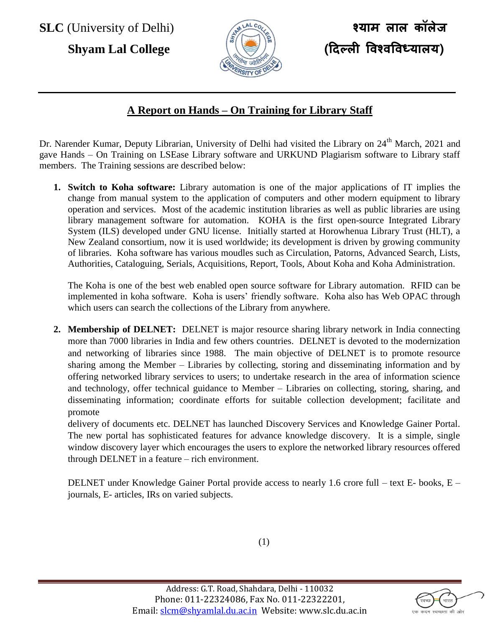**SLC** (University of Delhi) **श्याम लाल कॉलेज**



## **A Report on Hands – On Training for Library Staff**

Dr. Narender Kumar, Deputy Librarian, University of Delhi had visited the Library on 24<sup>th</sup> March, 2021 and gave Hands – On Training on LSEase Library software and URKUND Plagiarism software to Library staff members. The Training sessions are described below:

**1. Switch to Koha software:** Library automation is one of the major applications of IT implies the change from manual system to the application of computers and other modern equipment to library operation and services. Most of the academic institution libraries as well as public libraries are using library management software for automation. KOHA is the first open-source Integrated Library System (ILS) developed under GNU license. Initially started at Horowhenua Library Trust (HLT), a New Zealand consortium, now it is used worldwide; its development is driven by growing community of libraries. Koha software has various moudles such as Circulation, Patorns, Advanced Search, Lists, Authorities, Cataloguing, Serials, Acquisitions, Report, Tools, About Koha and Koha Administration.

The Koha is one of the best web enabled open source software for Library automation. RFID can be implemented in koha software. Koha is users' friendly software. Koha also has Web OPAC through which users can search the collections of the Library from anywhere.

**2. Membership of DELNET:** DELNET is major resource sharing library network in India connecting more than 7000 libraries in India and few others countries. DELNET is devoted to the modernization and networking of libraries since 1988. The main objective of DELNET is to promote resource sharing among the Member – Libraries by collecting, storing and disseminating information and by offering networked library services to users; to undertake research in the area of information science and technology, offer technical guidance to Member – Libraries on collecting, storing, sharing, and disseminating information; coordinate efforts for suitable collection development; facilitate and promote

delivery of documents etc. DELNET has launched Discovery Services and Knowledge Gainer Portal. The new portal has sophisticated features for advance knowledge discovery. It is a simple, single window discovery layer which encourages the users to explore the networked library resources offered through DELNET in a feature – rich environment.

DELNET under Knowledge Gainer Portal provide access to nearly 1.6 crore full – text E- books, E – journals, E- articles, IRs on varied subjects.

(1)

्<br>भारत कटम स्वच्छता की ओर